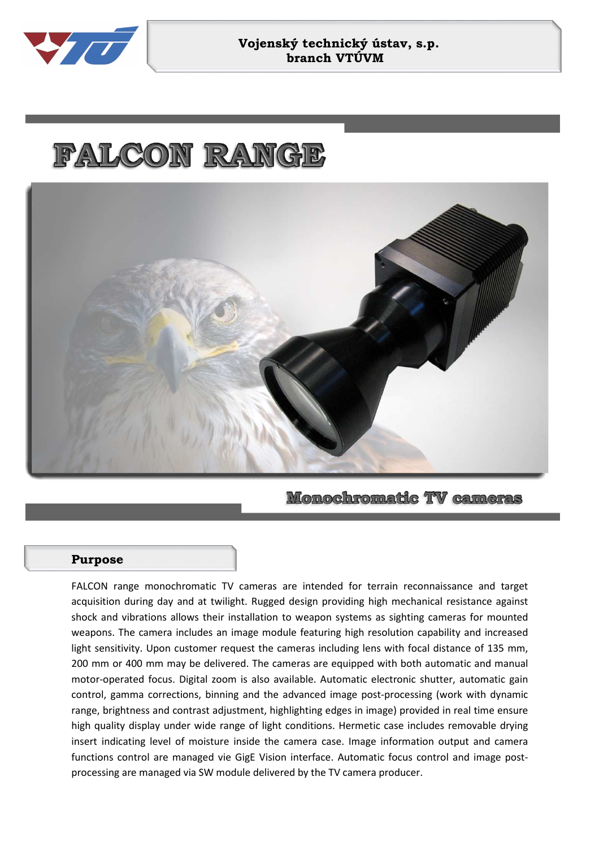

## **Vojenský technický ústav, s.p. branch VTÚVM**

## FALCON RANGE



**Monochromatic TV cameras** 

## **Purpose**

FALCON range monochromatic TV cameras are intended for terrain reconnaissance and target acquisition during day and at twilight. Rugged design providing high mechanical resistance against shock and vibrations allows their installation to weapon systems as sighting cameras for mounted weapons. The camera includes an image module featuring high resolution capability and increased light sensitivity. Upon customer request the cameras including lens with focal distance of 135 mm, 200 mm or 400 mm may be delivered. The cameras are equipped with both automatic and manual motor-operated focus. Digital zoom is also available. Automatic electronic shutter, automatic gain control, gamma corrections, binning and the advanced image post-processing (work with dynamic range, brightness and contrast adjustment, highlighting edges in image) provided in real time ensure high quality display under wide range of light conditions. Hermetic case includes removable drying insert indicating level of moisture inside the camera case. Image information output and camera functions control are managed vie GigE Vision interface. Automatic focus control and image postprocessing are managed via SW module delivered by the TV camera producer.